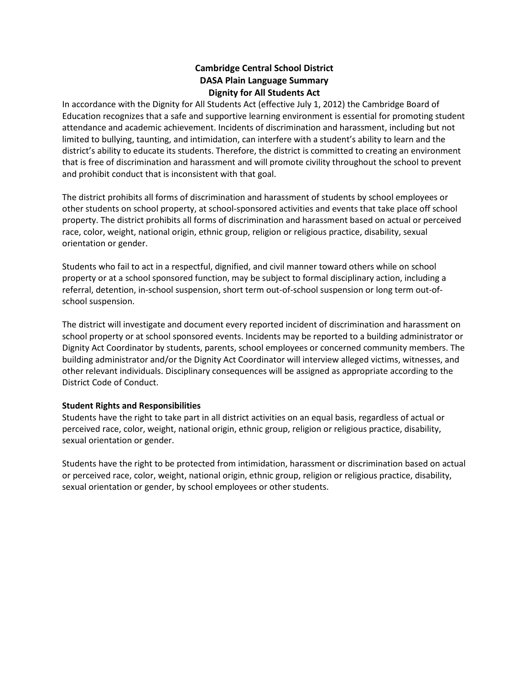# **Cambridge Central School District DASA Plain Language Summary Dignity for All Students Act**

In accordance with the Dignity for All Students Act (effective July 1, 2012) the Cambridge Board of Education recognizes that a safe and supportive learning environment is essential for promoting student attendance and academic achievement. Incidents of discrimination and harassment, including but not limited to bullying, taunting, and intimidation, can interfere with a student's ability to learn and the district's ability to educate its students. Therefore, the district is committed to creating an environment that is free of discrimination and harassment and will promote civility throughout the school to prevent and prohibit conduct that is inconsistent with that goal.

The district prohibits all forms of discrimination and harassment of students by school employees or other students on school property, at school-sponsored activities and events that take place off school property. The district prohibits all forms of discrimination and harassment based on actual or perceived race, color, weight, national origin, ethnic group, religion or religious practice, disability, sexual orientation or gender.

Students who fail to act in a respectful, dignified, and civil manner toward others while on school property or at a school sponsored function, may be subject to formal disciplinary action, including a referral, detention, in-school suspension, short term out-of-school suspension or long term out-ofschool suspension.

The district will investigate and document every reported incident of discrimination and harassment on school property or at school sponsored events. Incidents may be reported to a building administrator or Dignity Act Coordinator by students, parents, school employees or concerned community members. The building administrator and/or the Dignity Act Coordinator will interview alleged victims, witnesses, and other relevant individuals. Disciplinary consequences will be assigned as appropriate according to the District Code of Conduct.

### **Student Rights and Responsibilities**

Students have the right to take part in all district activities on an equal basis, regardless of actual or perceived race, color, weight, national origin, ethnic group, religion or religious practice, disability, sexual orientation or gender.

Students have the right to be protected from intimidation, harassment or discrimination based on actual or perceived race, color, weight, national origin, ethnic group, religion or religious practice, disability, sexual orientation or gender, by school employees or other students.